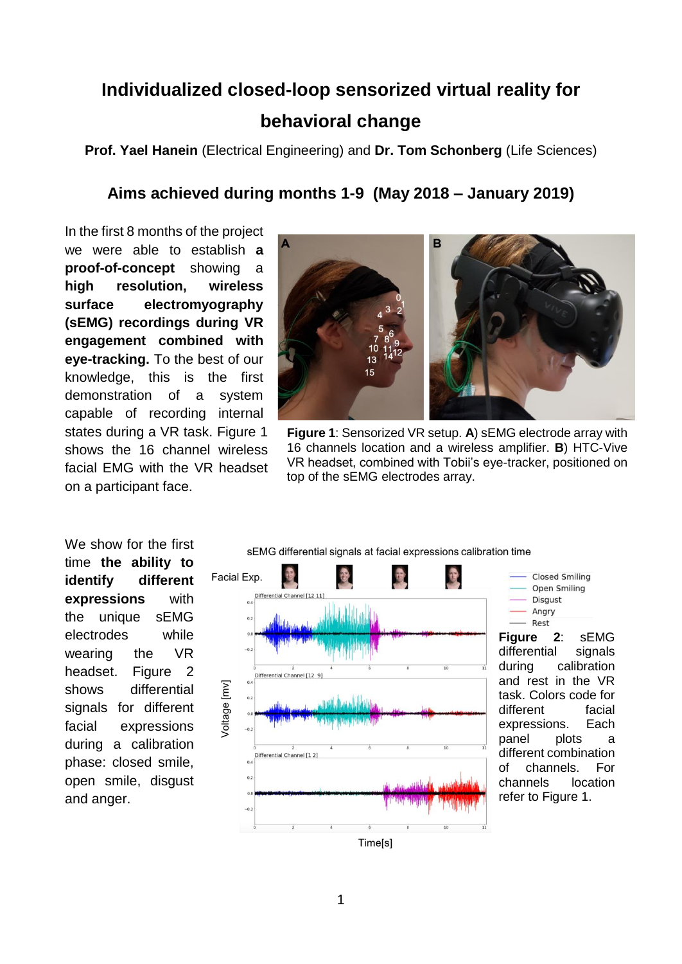## **Individualized closed-loop sensorized virtual reality for behavioral change**

**Prof. Yael Hanein** (Electrical Engineering) and **Dr. Tom Schonberg** (Life Sciences)

## **Aims achieved during months 1-9 (May 2018 – January 2019)**

In the first 8 months of the project we were able to establish **a proof-of-concept** showing a **high resolution, wireless surface electromyography (sEMG) recordings during VR engagement combined with eye-tracking.** To the best of our knowledge, this is the first demonstration of a system capable of recording internal states during a VR task. Figure 1 shows the 16 channel wireless facial EMG with the VR headset on a participant face.



**Figure 1**: Sensorized VR setup. **A**) sEMG electrode array with 16 channels location and a wireless amplifier. **B**) HTC-Vive VR headset, combined with Tobii's eye-tracker, positioned on top of the sEMG electrodes array.

We show for the first time **the ability to identify different expressions** with the unique sEMG electrodes while wearing the VR headset. Figure 2 shows differential signals for different facial expressions during a calibration phase: closed smile, open smile, disgust and anger.

sEMG differential signals at facial expressions calibration time





**Figure 2**: sEMG differential signals during calibration and rest in the VR task. Colors code for different facial expressions. Each panel plots a different combination of channels. For channels location refer to Figure 1.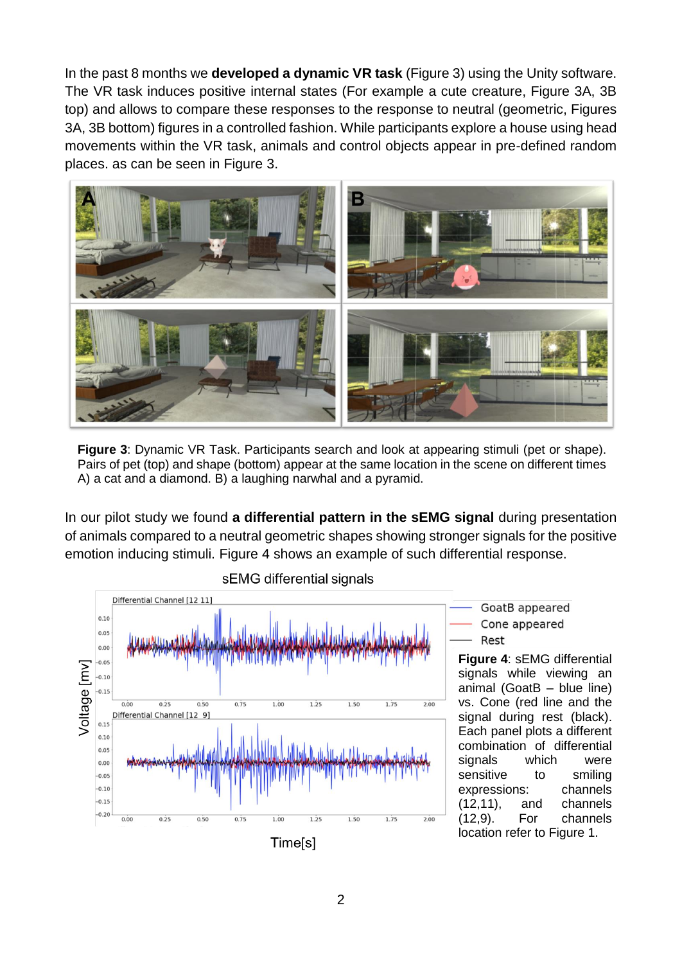In the past 8 months we **developed a dynamic VR task** (Figure 3) using the Unity software. The VR task induces positive internal states (For example a cute creature, Figure 3A, 3B top) and allows to compare these responses to the response to neutral (geometric, Figures 3A, 3B bottom) figures in a controlled fashion. While participants explore a house using head movements within the VR task, animals and control objects appear in pre-defined random places. as can be seen in Figure 3.



**Figure 3**: Dynamic VR Task. Participants search and look at appearing stimuli (pet or shape). Pairs of pet (top) and shape (bottom) appear at the same location in the scene on different times A) a cat and a diamond. B) a laughing narwhal and a pyramid.

In our pilot study we found **a differential pattern in the sEMG signal** during presentation of animals compared to a neutral geometric shapes showing stronger signals for the positive emotion inducing stimuli. Figure 4 shows an example of such differential response.





GoatB appeared Cone appeared Rest

**Figure 4**: sEMG differential signals while viewing an animal (GoatB – blue line) vs. Cone (red line and the signal during rest (black). Each panel plots a different combination of differential signals which were sensitive to smiling expressions: channels (12,11), and channels (12,9). For channels location refer to Figure 1.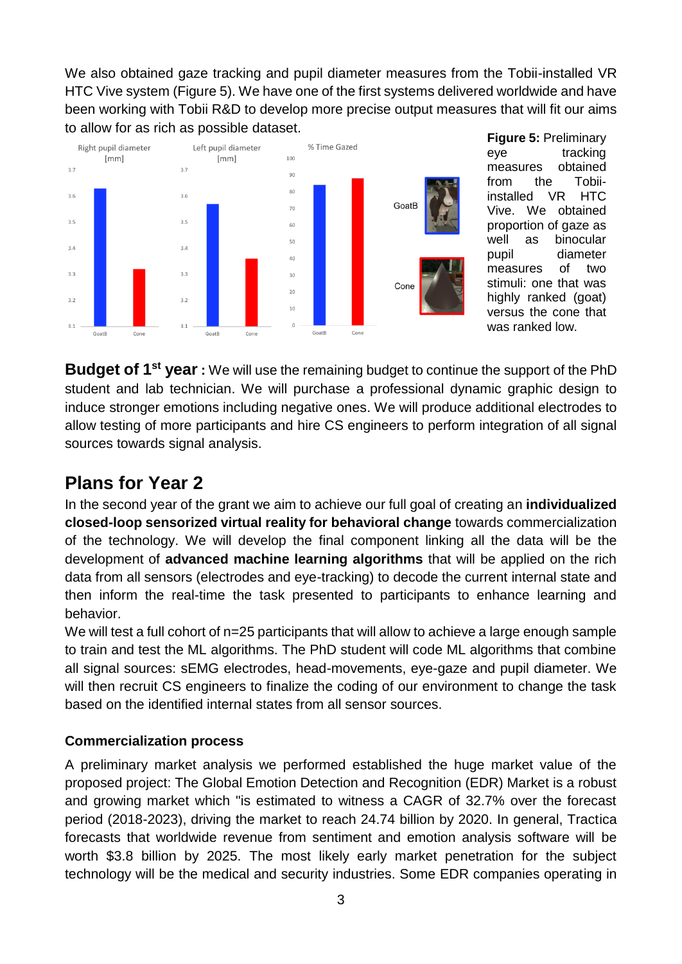We also obtained gaze tracking and pupil diameter measures from the Tobii-installed VR HTC Vive system (Figure 5). We have one of the first systems delivered worldwide and have been working with Tobii R&D to develop more precise output measures that will fit our aims to allow for as rich as possible dataset.



**Figure 5:** Preliminary eye tracking measures obtained from the Tobiiinstalled VR HTC Vive. We obtained proportion of gaze as well as binocular pupil diameter measures of two stimuli: one that was highly ranked (goat) versus the cone that was ranked low.

**Budget of 1st year :** We will use the remaining budget to continue the support of the PhD student and lab technician. We will purchase a professional dynamic graphic design to induce stronger emotions including negative ones. We will produce additional electrodes to allow testing of more participants and hire CS engineers to perform integration of all signal sources towards signal analysis.

## **Plans for Year 2**

In the second year of the grant we aim to achieve our full goal of creating an **individualized closed-loop sensorized virtual reality for behavioral change** towards commercialization of the technology. We will develop the final component linking all the data will be the development of **advanced machine learning algorithms** that will be applied on the rich data from all sensors (electrodes and eye-tracking) to decode the current internal state and then inform the real-time the task presented to participants to enhance learning and behavior.

We will test a full cohort of n=25 participants that will allow to achieve a large enough sample to train and test the ML algorithms. The PhD student will code ML algorithms that combine all signal sources: sEMG electrodes, head-movements, eye-gaze and pupil diameter. We will then recruit CS engineers to finalize the coding of our environment to change the task based on the identified internal states from all sensor sources.

## **Commercialization process**

A preliminary market analysis we performed established the huge market value of the proposed project: The Global Emotion Detection and Recognition (EDR) Market is a robust and growing market which "is estimated to witness a CAGR of 32.7% over the forecast period (2018-2023), driving the market to reach 24.74 billion by 2020. In general, Tractica forecasts that worldwide revenue from sentiment and emotion analysis software will be worth \$3.8 billion by 2025. The most likely early market penetration for the subject technology will be the medical and security industries. Some EDR companies operating in